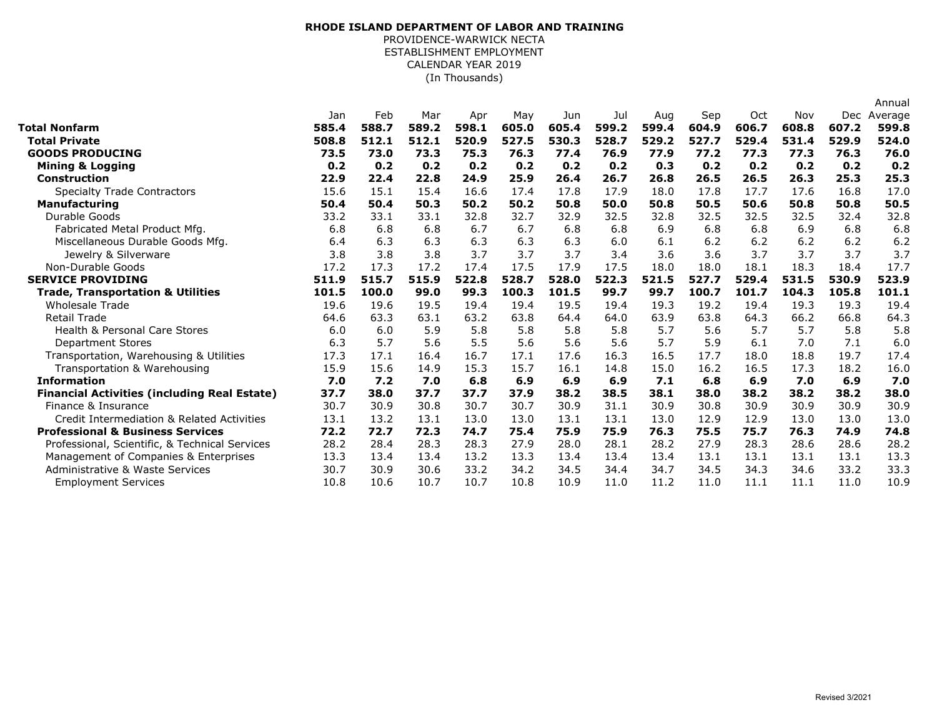## (In Thousands) **RHODE ISLAND DEPARTMENT OF LABOR AND TRAINING** PROVIDENCE-WARWICK NECTA ESTABLISHMENT EMPLOYMENT CALENDAR YEAR 2019

|                                                     |       |       |       |       |       |       |       |       |       |       |       |       | Annual  |
|-----------------------------------------------------|-------|-------|-------|-------|-------|-------|-------|-------|-------|-------|-------|-------|---------|
|                                                     | Jan   | Feb   | Mar   | Apr   | May   | Jun   | Jul   | Aug   | Sep   | Oct   | Nov   | Dec   | Average |
| Total Nonfarm                                       | 585.4 | 588.7 | 589.2 | 598.1 | 605.0 | 605.4 | 599.2 | 599.4 | 604.9 | 606.7 | 608.8 | 607.2 | 599.8   |
| <b>Total Private</b>                                | 508.8 | 512.1 | 512.1 | 520.9 | 527.5 | 530.3 | 528.7 | 529.2 | 527.7 | 529.4 | 531.4 | 529.9 | 524.0   |
| <b>GOODS PRODUCING</b>                              | 73.5  | 73.0  | 73.3  | 75.3  | 76.3  | 77.4  | 76.9  | 77.9  | 77.2  | 77.3  | 77.3  | 76.3  | 76.0    |
| <b>Mining &amp; Logging</b>                         | 0.2   | 0.2   | 0.2   | 0.2   | 0.2   | 0.2   | 0.2   | 0.3   | 0.2   | 0.2   | 0.2   | 0.2   | 0.2     |
| <b>Construction</b>                                 | 22.9  | 22.4  | 22.8  | 24.9  | 25.9  | 26.4  | 26.7  | 26.8  | 26.5  | 26.5  | 26.3  | 25.3  | 25.3    |
| <b>Specialty Trade Contractors</b>                  | 15.6  | 15.1  | 15.4  | 16.6  | 17.4  | 17.8  | 17.9  | 18.0  | 17.8  | 17.7  | 17.6  | 16.8  | 17.0    |
| <b>Manufacturing</b>                                | 50.4  | 50.4  | 50.3  | 50.2  | 50.2  | 50.8  | 50.0  | 50.8  | 50.5  | 50.6  | 50.8  | 50.8  | 50.5    |
| Durable Goods                                       | 33.2  | 33.1  | 33.1  | 32.8  | 32.7  | 32.9  | 32.5  | 32.8  | 32.5  | 32.5  | 32.5  | 32.4  | 32.8    |
| Fabricated Metal Product Mfg.                       | 6.8   | 6.8   | 6.8   | 6.7   | 6.7   | 6.8   | 6.8   | 6.9   | 6.8   | 6.8   | 6.9   | 6.8   | 6.8     |
| Miscellaneous Durable Goods Mfg.                    | 6.4   | 6.3   | 6.3   | 6.3   | 6.3   | 6.3   | 6.0   | 6.1   | 6.2   | 6.2   | 6.2   | 6.2   | 6.2     |
| Jewelry & Silverware                                | 3.8   | 3.8   | 3.8   | 3.7   | 3.7   | 3.7   | 3.4   | 3.6   | 3.6   | 3.7   | 3.7   | 3.7   | 3.7     |
| Non-Durable Goods                                   | 17.2  | 17.3  | 17.2  | 17.4  | 17.5  | 17.9  | 17.5  | 18.0  | 18.0  | 18.1  | 18.3  | 18.4  | 17.7    |
| <b>SERVICE PROVIDING</b>                            | 511.9 | 515.7 | 515.9 | 522.8 | 528.7 | 528.0 | 522.3 | 521.5 | 527.7 | 529.4 | 531.5 | 530.9 | 523.9   |
| <b>Trade, Transportation &amp; Utilities</b>        | 101.5 | 100.0 | 99.0  | 99.3  | 100.3 | 101.5 | 99.7  | 99.7  | 100.7 | 101.7 | 104.3 | 105.8 | 101.1   |
| <b>Wholesale Trade</b>                              | 19.6  | 19.6  | 19.5  | 19.4  | 19.4  | 19.5  | 19.4  | 19.3  | 19.2  | 19.4  | 19.3  | 19.3  | 19.4    |
| <b>Retail Trade</b>                                 | 64.6  | 63.3  | 63.1  | 63.2  | 63.8  | 64.4  | 64.0  | 63.9  | 63.8  | 64.3  | 66.2  | 66.8  | 64.3    |
| <b>Health &amp; Personal Care Stores</b>            | 6.0   | 6.0   | 5.9   | 5.8   | 5.8   | 5.8   | 5.8   | 5.7   | 5.6   | 5.7   | 5.7   | 5.8   | 5.8     |
| <b>Department Stores</b>                            | 6.3   | 5.7   | 5.6   | 5.5   | 5.6   | 5.6   | 5.6   | 5.7   | 5.9   | 6.1   | 7.0   | 7.1   | 6.0     |
| Transportation, Warehousing & Utilities             | 17.3  | 17.1  | 16.4  | 16.7  | 17.1  | 17.6  | 16.3  | 16.5  | 17.7  | 18.0  | 18.8  | 19.7  | 17.4    |
| Transportation & Warehousing                        | 15.9  | 15.6  | 14.9  | 15.3  | 15.7  | 16.1  | 14.8  | 15.0  | 16.2  | 16.5  | 17.3  | 18.2  | 16.0    |
| <b>Information</b>                                  | 7.0   | 7.2   | 7.0   | 6.8   | 6.9   | 6.9   | 6.9   | 7.1   | 6.8   | 6.9   | 7.0   | 6.9   | 7.0     |
| <b>Financial Activities (including Real Estate)</b> | 37.7  | 38.0  | 37.7  | 37.7  | 37.9  | 38.2  | 38.5  | 38.1  | 38.0  | 38.2  | 38.2  | 38.2  | 38.0    |
| Finance & Insurance                                 | 30.7  | 30.9  | 30.8  | 30.7  | 30.7  | 30.9  | 31.1  | 30.9  | 30.8  | 30.9  | 30.9  | 30.9  | 30.9    |
| Credit Intermediation & Related Activities          | 13.1  | 13.2  | 13.1  | 13.0  | 13.0  | 13.1  | 13.1  | 13.0  | 12.9  | 12.9  | 13.0  | 13.0  | 13.0    |
| <b>Professional &amp; Business Services</b>         | 72.2  | 72.7  | 72.3  | 74.7  | 75.4  | 75.9  | 75.9  | 76.3  | 75.5  | 75.7  | 76.3  | 74.9  | 74.8    |
| Professional, Scientific, & Technical Services      | 28.2  | 28.4  | 28.3  | 28.3  | 27.9  | 28.0  | 28.1  | 28.2  | 27.9  | 28.3  | 28.6  | 28.6  | 28.2    |
| Management of Companies & Enterprises               | 13.3  | 13.4  | 13.4  | 13.2  | 13.3  | 13.4  | 13.4  | 13.4  | 13.1  | 13.1  | 13.1  | 13.1  | 13.3    |
| Administrative & Waste Services                     | 30.7  | 30.9  | 30.6  | 33.2  | 34.2  | 34.5  | 34.4  | 34.7  | 34.5  | 34.3  | 34.6  | 33.2  | 33.3    |
| <b>Employment Services</b>                          | 10.8  | 10.6  | 10.7  | 10.7  | 10.8  | 10.9  | 11.0  | 11.2  | 11.0  | 11.1  | 11.1  | 11.0  | 10.9    |